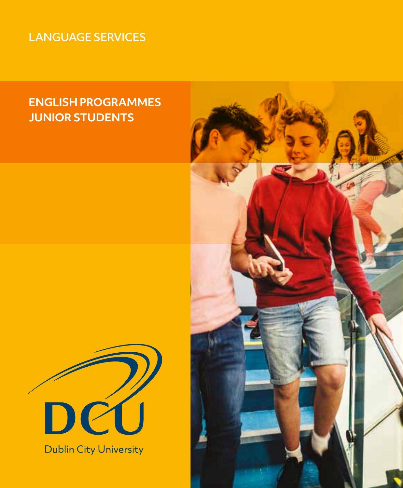## LANGUAGE SERVICES

# **ENGLISH PROGRAMMES JUNIOR STUDENTS**



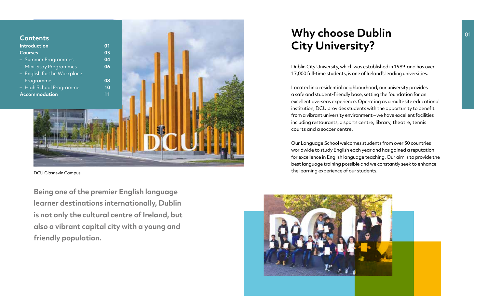

DCU Glasnevin Campus

**Being one of the premier English language learner destinations internationally, Dublin is not only the cultural centre of Ireland, but also a vibrant capital city with a young and friendly population.**

# **Why choose Dublin City University?**

Dublin City University, which was established in 1989 and has over 17,000 full-time students, is one of Ireland's leading universities.

Located in a residential neighbourhood, our university provides a safe and student-friendly base, setting the foundation for an excellent overseas experience. Operating as a multi-site educational institution, DCU provides students with the opportunity to benefit from a vibrant university environment – we have excellent facilities including restaurants, a sports centre, library, theatre, tennis courts and a soccer centre.

Our Language School welcomes students from over 30 countries worldwide to study English each year and has gained a reputation for excellence in English language teaching. Our aim is to provide the best language training possible and we constantly seek to enhance the learning experience of our students.

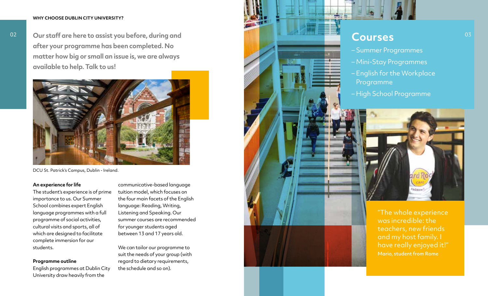#### **WHY CHOOSE DUBLIN CITY UNIVERSITY?**

**Our staff are here to assist you before, during and after your programme has been completed. No matter how big or small an issue is, we are always available to help. Talk to us!**



DCU St. Patrick's Campus, Dublin - Ireland.

#### **An experience for life**

The student's experience is of prime importance to us. Our Summer School combines expert English language programmes with a full programme of social activities, cultural visits and sports, all of which are designed to facilitate complete immersion for our students.

#### **Programme outline**

English programmes at Dublin City University draw heavily from the

communicative-based language tuition model, which focuses on the four main facets of the English language: Reading, Writing, Listening and Speaking. Our summer courses are recommended for younger students aged between 13 and 17 years old.

We can tailor our programme to suit the needs of your group (with regard to dietary requirements, the schedule and so on).



- English for the Workplace Programme
- High School Programme



''The whole experience was incredible: the teachers, new friends and my host family. I have really enjoyed it!'' Mario, student from Rome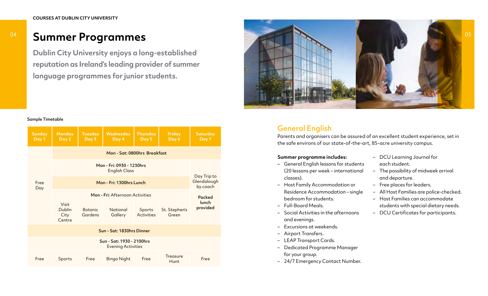# **Summer Programmes**

**Dublin City University enjoys a long-established reputation as Ireland's leading provider of summer language programmes for junior students.**



#### Sample Timetable

| <b>Sunday</b><br>Day 1                                 | <b>Monday</b><br>Day 2                          | <b>Tuesday</b><br>Day 3                          | Wednesday<br>Day 4  | <b>Thursday</b><br>Day 5    | Friday<br>Day 6         | Saturday<br>Day 7 |  |  |
|--------------------------------------------------------|-------------------------------------------------|--------------------------------------------------|---------------------|-----------------------------|-------------------------|-------------------|--|--|
| Free<br>Day                                            | Mon - Sat: 0800hrs Breakfast                    |                                                  |                     |                             |                         |                   |  |  |
|                                                        |                                                 | Day Trip to<br>Glendalough<br>by coach<br>Packed |                     |                             |                         |                   |  |  |
|                                                        |                                                 |                                                  |                     |                             |                         |                   |  |  |
|                                                        |                                                 |                                                  |                     |                             |                         |                   |  |  |
|                                                        | <b>Visit</b><br><b>Dublin</b><br>City<br>Centre | <b>Botanic</b><br>Gardens                        | National<br>Gallery | Sports<br><b>Activities</b> | St. Stephen's<br>Green  | lunch<br>provided |  |  |
| Sun - Sat: 1830hrs Dinner                              |                                                 |                                                  |                     |                             |                         |                   |  |  |
| Sun - Sat: 1930 - 2100hrs<br><b>Evening Activities</b> |                                                 |                                                  |                     |                             |                         |                   |  |  |
| Free                                                   | Sports                                          | Free                                             | <b>Bingo Night</b>  | Free                        | Treasure<br><b>Hunt</b> | Free              |  |  |

## General English

Parents and organisers can be assured of an excellent student experience, set in the safe environs of our state-of-the-art, 85-acre university campus.

#### **Summer programme includes:**

- General English lessons for students (20 lessons per week – international classes).
- Host Family Accommodation or Residence Accommodation – single bedroom for students.
- Full-Board Meals.
- Social Activities in the afternoons and evenings.
- Excursions at weekends.
- Airport Transfers.
- LEAP Transport Cards.
- Dedicated Programme Manager for your group.
- 24/7 Emergency Contact Number.
- DCU Learning Journal for each student.
- The possibility of midweek arrival and departure.
- Free places for leaders.
- All Host Families are police-checked.
- Host Families can accommodate students with special dietary needs.
- DCU Certificates for participants.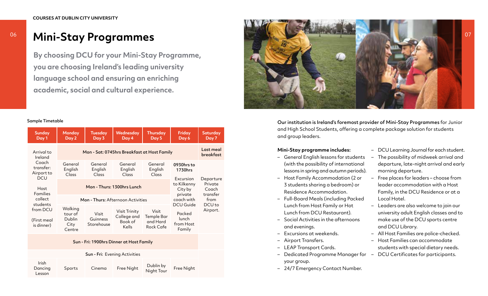# **Mini-Stay Programmes**

**By choosing DCU for your Mini-Stay Programme, you are choosing Ireland's leading university language school and ensuring an enriching academic, social and cultural experience.**

#### Sample Timetable

| <b>Sunday</b><br>Day 1                                    | <b>Monday</b><br>Day 2                         | <b>Tuesday</b><br>Day 3           | <b>Wednesday</b><br>Day 4                                    | <b>Thursday</b><br>Day 5                            | Friday<br>Day 6                                     | <b>Saturday</b><br>Day 7      |
|-----------------------------------------------------------|------------------------------------------------|-----------------------------------|--------------------------------------------------------------|-----------------------------------------------------|-----------------------------------------------------|-------------------------------|
| Arrival to<br>Ireland<br>Coach<br>transfer:<br>Airport to | Mon - Sat: 0745hrs Breakfast at Host Family    | Last meal<br>breakfast            |                                                              |                                                     |                                                     |                               |
|                                                           | General<br>English<br>Class                    | General<br>English<br>Class       | General<br>English<br>Class                                  | General<br>English<br>Class                         | 0930hrs to<br>1730hrs                               |                               |
| <b>DCU</b><br>Host<br><b>Families</b><br>collect          |                                                | Mon - Thurs: 1300hrs Lunch        | Excursion<br>to Kilkenny<br>City by<br>private<br>coach with | Departure<br>Private<br>Coach<br>transfer<br>from   |                                                     |                               |
|                                                           |                                                | Mon - Thurs: Afternoon Activities |                                                              |                                                     |                                                     |                               |
| students<br>from DCU<br>(First meal<br>is dinner)         | Walking<br>tour of<br>Dublin<br>City<br>Centre | Visit<br>Guinness<br>Storehouse   | <b>Visit Trinity</b><br>College and<br>Book of<br>Kells      | Visit<br><b>Temple Bar</b><br>and Hard<br>Rock Cafe | DCU Guide<br>Packed<br>lunch<br>from Host<br>Family | DCU <sub>to</sub><br>Airport. |
| Sun - Fri: 1900hrs Dinner at Host Family                  |                                                |                                   |                                                              |                                                     |                                                     |                               |
| Sun - Fri: Evening Activities                             |                                                |                                   |                                                              |                                                     |                                                     |                               |
| Irish<br>Dancing<br>Lesson                                | Sports                                         | Cinema                            | Free Night                                                   | Dublin by<br>Night Tour                             | Free Night                                          |                               |



Our institution is Ireland's foremost provider of Mini-Stay Programmes for Junior and High School Students, offering a complete package solution for students and group leaders.

### **Mini-Stay programme includes:**

- General English lessons for students (with the possibility of international lessons in spring and autumn periods).
- Host Family Accommodation (2 or 3 students sharing a bedroom) or Residence Accommodation.
- Full-Board Meals (including Packed Lunch from Host Family or Hot Lunch from DCU Restaurant).
- Social Activities in the afternoons and evenings.
- Excursions at weekends.
- Airport Transfers.
- LEAP Transport Cards.
- Dedicated Programme Manager for DCU Certificates for participants. your group.
- 24/7 Emergency Contact Number.
- DCU Learning Journal for each student.
- The possibility of midweek arrival and departure, late-night arrival and early morning departure.
- Free places for leaders choose from leader accommodation with a Host Family, in the DCU Residence or at a Local Hotel.
- Leaders are also welcome to join our university adult English classes and to make use of the DCU sports centre and DCU Library.
- All Host Families are police-checked.
- Host Families can accommodate students with special dietary needs.
-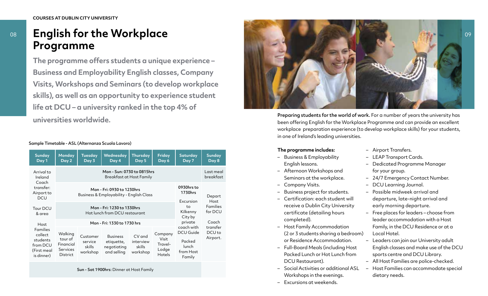#### **COURSES AT DUBLIN CITY UNIVERSITY**

# **English for the Workplace Programme**

**The programme offers students a unique experience – Business and Employability English classes, Company Visits, Workshops and Seminars (to develop workplace skills), as well as an opportunity to experience student life at DCU – a university ranked in the top 4% of universities worldwide.**

#### Sample Timetable - ASL (Alternanza Scuola Lavoro)

| <b>Sunday</b><br>Day 1                                                                  | Monday<br>Day 2                                                       | <b>Tuesday</b><br>Day 3                                                | Wednesday<br>Day 4                                              | Thursday<br>Day 5                            | Friday<br>Day 6                                | Saturday<br>Day 7                                                 | <b>Sunday</b><br>Day 8                    |
|-----------------------------------------------------------------------------------------|-----------------------------------------------------------------------|------------------------------------------------------------------------|-----------------------------------------------------------------|----------------------------------------------|------------------------------------------------|-------------------------------------------------------------------|-------------------------------------------|
| Arrival to<br>Ireland<br>Coach<br>transfer:<br>Airport to<br>DCU                        | Mon - Sun: 0730 to 0815hrs<br>Breakfast at Host Family                |                                                                        |                                                                 |                                              |                                                |                                                                   |                                           |
|                                                                                         |                                                                       | Mon - Fri: 0930 to 1230hrs<br>Business & Employability - English Class | 0930hrs to<br>1730hrs<br>Excursion<br>to<br>Kilkenny<br>City by | Depart<br>Host<br><b>Families</b><br>for DCU |                                                |                                                                   |                                           |
| Tour DCU<br>& area                                                                      |                                                                       | Mon - Fri: 1230 to 1330hrs<br>Hot lunch from DCU restaurant            |                                                                 |                                              |                                                |                                                                   |                                           |
| Host<br><b>Families</b><br>collect<br>students<br>from DCU<br>(First meal<br>is dinner) | Mon - Fri: 1330 to 1730 hrs                                           |                                                                        |                                                                 |                                              |                                                | private                                                           | Coach                                     |
|                                                                                         | Walking<br>tour of<br>Financial<br><b>Services</b><br><b>District</b> | Customer<br>service<br>skills<br>workshop                              | <b>Business</b><br>etiquette,<br>negotiating<br>and selling     | CV and<br>interview<br>skills<br>workshop    | Company<br>Visit<br>Travel-<br>Lodge<br>Hotels | coach with<br>DCU Guide<br>Packed<br>lunch<br>from Host<br>Family | transfer<br>DCU <sub>to</sub><br>Airport. |

Sun - Sat 1900hrs: Dinner at Host Family



Preparing students for the world of work. For a number of years the university has been offering English for the Workplace Programme and can provide an excellent workplace preparation experience (to develop workplace skills) for your students, in one of Ireland's leading universities.

#### **The programme includes:**

- Business & Employability English lessons.
- Afternoon Workshops and Seminars at the workplace.
- Company Visits.
- Business project for students.
- Certification: each student will receive a Dublin City University certificate (detailing hours completed).
- Host Family Accommodation (2 or 3 students sharing a bedroom) or Residence Accommodation.
- Full-Board Meals (including Host Packed Lunch or Hot Lunch from DCU Restaurant).
- Social Activities or additional ASL Workshops in the evenings.
- Excursions at weekends.
- Airport Transfers.
- LEAP Transport Cards.
- Dedicated Programme Manager for your group.
- 24/7 Emergency Contact Number.
- DCU Learning Journal.
- Possible midweek arrival and departure, late-night arrival and early morning departure.
- Free places for leaders choose from leader accommodation with a Host Family, in the DCU Residence or at a Local Hotel.
- Leaders can join our University adult English classes and make use of the DCU sports centre and DCU Library.
- All Host Families are police-checked.
- Host Families can accommodate special dietary needs.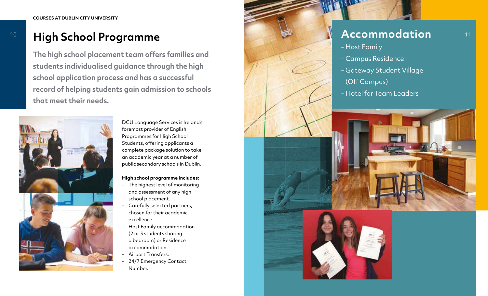**The high school placement team offers families and students individualised guidance through the high school application process and has a successful record of helping students gain admission to schools that meet their needs.**



DCU Language Services is Ireland's foremost provider of English Programmes for High School Students, offering applicants a complete package solution to take an academic year at a number of public secondary schools in Dublin.

### **High school programme includes:**

- The highest level of monitoring and assessment of any high school placement.
- Carefully selected partners, chosen for their academic excellence.
- Host Family accommodation (2 or 3 students sharing a bedroom) or Residence accommodation.
- Airport Transfers.
- 24/7 Emergency Contact Number.

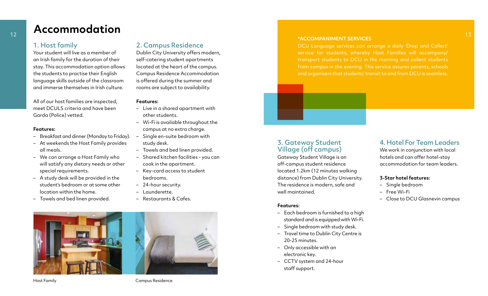# **Accommodation**

### 1. Host family

Your student will live as a member of an Irish family for the duration of their stay. This accommodation option allows the students to practise their English language skills outside of the classroom and immerse themselves in Irish culture.

All of our host families are inspected, meet DCULS criteria and have been Garda (Police) vetted.

#### **Features:**

- Breakfast and dinner (Monday to Friday).
- At weekends the Host Family provides all meals.
- We can arrange a Host Family who will satisfy any dietary needs or other special requirements.
- A study desk will be provided in the student's bedroom or at some other location within the home.
- Towels and bed linen provided.

### 2. Campus Residence

Dublin City University offers modern, self-catering student apartments located at the heart of the campus. Campus Residence Accommodation is offered during the summer and rooms are subject to availability.

#### **Features:**

- Live in a shared apartment with other students.
- Wi-Fi is available throughout the campus at no extra charge.
- Single en-suite bedroom with study desk.
- Towels and bed linen provided.
- Shared kitchen facilities you can cook in the apartment.
- Key-card access to student bedrooms.
- 24-hour security.
- Launderette.
- Restaurants & Cafes.



#### **\*ACCOMPANIMENT SERVICES**

DCU Language services can arrange a daily 'Drop and Collect' and organisers that students' transit to and from DCU is seamless.

# 3. Gateway Student Village (off campus)

Gateway Student Village is an off-campus student residence located 1.2km (12 minutes walking distance) from Dublin City University. The residence is modern, safe and well maintained.

#### **Features:**

- Each bedroom is furnished to a high standard and is equipped with Wi-Fi.
- Single bedroom with study desk.
- Travel time to Dublin City Centre is 20-25 minutes.
- Only accessible with an electronic key.
- CCTV system and 24-hour staff support.

### 4. Hotel For Team Leaders

We work in conjunction with local hotels and can offer hotel-stay accommodation for team leaders.

#### **3-Star hotel features:**

- Single bedroom
- Free Wi-Fi
- Close to DCU Glasnevin campus